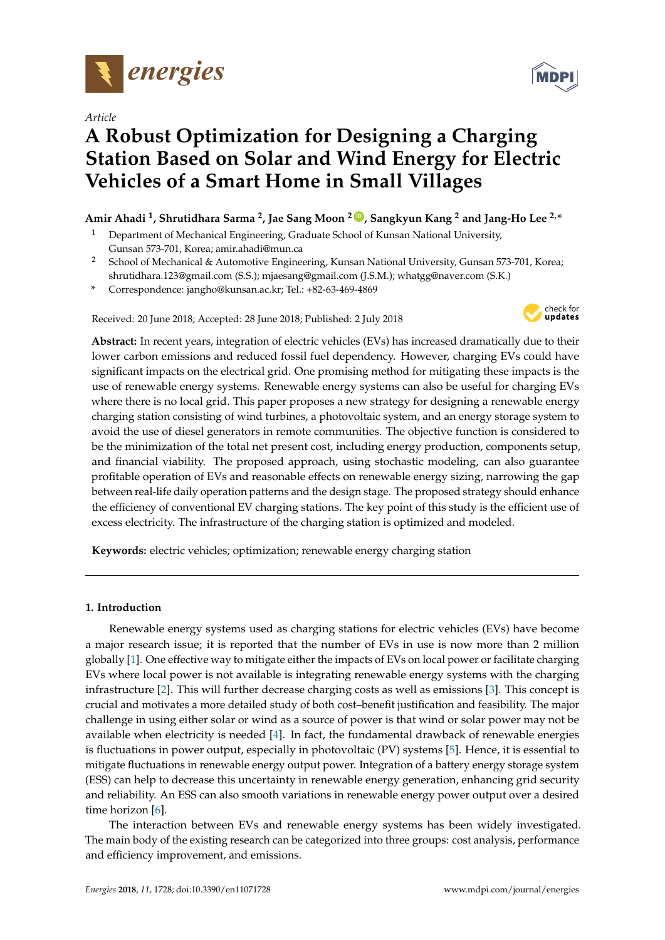

*Article*

# **A Robust Optimization for Designing a Charging Station Based on Solar and Wind Energy for Electric Vehicles of a Smart Home in Small Villages**

# **Amir Ahadi <sup>1</sup> , Shrutidhara Sarma <sup>2</sup> , Jae Sang Moon <sup>2</sup> ID , Sangkyun Kang <sup>2</sup> and Jang-Ho Lee 2,\***

- <sup>1</sup> Department of Mechanical Engineering, Graduate School of Kunsan National University, Gunsan 573-701, Korea; amir.ahadi@mun.ca
- <sup>2</sup> School of Mechanical & Automotive Engineering, Kunsan National University, Gunsan 573-701, Korea; shrutidhara.123@gmail.com (S.S.); mjaesang@gmail.com (J.S.M.); whatgg@naver.com (S.K.)
- **\*** Correspondence: jangho@kunsan.ac.kr; Tel.: +82-63-469-4869

Received: 20 June 2018; Accepted: 28 June 2018; Published: 2 July 2018



**Abstract:** In recent years, integration of electric vehicles (EVs) has increased dramatically due to their lower carbon emissions and reduced fossil fuel dependency. However, charging EVs could have significant impacts on the electrical grid. One promising method for mitigating these impacts is the use of renewable energy systems. Renewable energy systems can also be useful for charging EVs where there is no local grid. This paper proposes a new strategy for designing a renewable energy charging station consisting of wind turbines, a photovoltaic system, and an energy storage system to avoid the use of diesel generators in remote communities. The objective function is considered to be the minimization of the total net present cost, including energy production, components setup, and financial viability. The proposed approach, using stochastic modeling, can also guarantee profitable operation of EVs and reasonable effects on renewable energy sizing, narrowing the gap between real-life daily operation patterns and the design stage. The proposed strategy should enhance the efficiency of conventional EV charging stations. The key point of this study is the efficient use of excess electricity. The infrastructure of the charging station is optimized and modeled.

**Keywords:** electric vehicles; optimization; renewable energy charging station

## **1. Introduction**

Renewable energy systems used as charging stations for electric vehicles (EVs) have become a major research issue; it is reported that the number of EVs in use is now more than 2 million globally [1]. One effective way to mitigate either the impacts of EVs on local power or facilitate charging EVs where local power is not available is integrating renewable energy systems with the charging infrastructure [2]. This will further decrease charging costs as well as emissions [3]. This concept is crucial and motivates a more detailed study of both cost–benefit justification and feasibility. The major challenge in using either solar or wind as a source of power is that wind or solar power may not be available when electricity is needed [4]. In fact, the fundamental drawback of renewable energies is fluctuations in power output, especially in photovoltaic (PV) systems [5]. Hence, it is essential to mitigate fluctuations in renewable energy output power. Integration of a battery energy storage system (ESS) can help to decrease this uncertainty in renewable energy generation, enhancing grid security and reliability. An ESS can also smooth variations in renewable energy power output over a desired time horizon [6].

The interaction between EVs and renewable energy systems has been widely investigated. The main body of the existing research can be categorized into three groups: cost analysis, performance and efficiency improvement, and emissions.

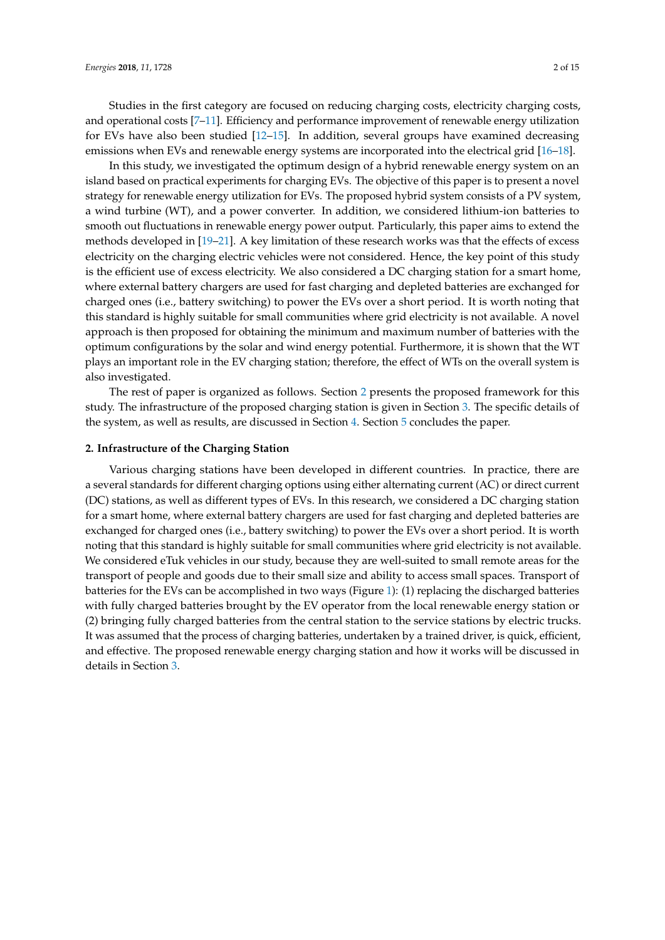Studies in the first category are focused on reducing charging costs, electricity charging costs, and operational costs [7–11]. Efficiency and performance improvement of renewable energy utilization for EVs have also been studied [12–15]. In addition, several groups have examined decreasing emissions when EVs and renewable energy systems are incorporated into the electrical grid [16–18].

In this study, we investigated the optimum design of a hybrid renewable energy system on an island based on practical experiments for charging EVs. The objective of this paper is to present a novel strategy for renewable energy utilization for EVs. The proposed hybrid system consists of a PV system, a wind turbine (WT), and a power converter. In addition, we considered lithium-ion batteries to smooth out fluctuations in renewable energy power output. Particularly, this paper aims to extend the methods developed in [19–21]. A key limitation of these research works was that the effects of excess electricity on the charging electric vehicles were not considered. Hence, the key point of this study is the efficient use of excess electricity. We also considered a DC charging station for a smart home, where external battery chargers are used for fast charging and depleted batteries are exchanged for charged ones (i.e., battery switching) to power the EVs over a short period. It is worth noting that this standard is highly suitable for small communities where grid electricity is not available. A novel approach is then proposed for obtaining the minimum and maximum number of batteries with the optimum configurations by the solar and wind energy potential. Furthermore, it is shown that the WT plays an important role in the EV charging station; therefore, the effect of WTs on the overall system is also investigated.

The rest of paper is organized as follows. Section 2 presents the proposed framework for this study. The infrastructure of the proposed charging station is given in Section 3. The specific details of the system, as well as results, are discussed in Section 4. Section 5 concludes the paper.

#### **2. Infrastructure of the Charging Station**

Various charging stations have been developed in different countries. In practice, there are a several standards for different charging options using either alternating current (AC) or direct current (DC) stations, as well as different types of EVs. In this research, we considered a DC charging station for a smart home, where external battery chargers are used for fast charging and depleted batteries are exchanged for charged ones (i.e., battery switching) to power the EVs over a short period. It is worth noting that this standard is highly suitable for small communities where grid electricity is not available. We considered eTuk vehicles in our study, because they are well-suited to small remote areas for the transport of people and goods due to their small size and ability to access small spaces. Transport of batteries for the EVs can be accomplished in two ways (Figure 1): (1) replacing the discharged batteries with fully charged batteries brought by the EV operator from the local renewable energy station or (2) bringing fully charged batteries from the central station to the service stations by electric trucks. It was assumed that the process of charging batteries, undertaken by a trained driver, is quick, efficient, and effective. The proposed renewable energy charging station and how it works will be discussed in details in Section 3.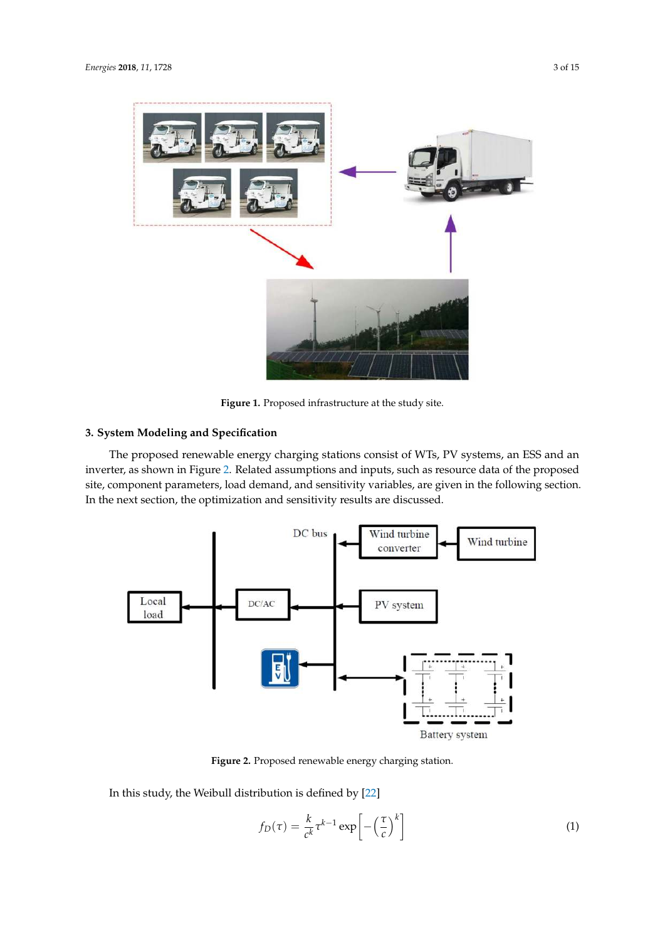

**Figure 1.** Proposed infrastructure at the study site.

## **3. System Modeling and Specification**

The proposed renewable energy charging stations consist of WTs, PV systems, an ESS and an inverter, as shown in Figure 2. Related assumptions and inputs, such as resource data of the proposed site, component parameters, load demand, and sensitivity variables, are given in the following section. In the next section, the optimization and sensitivity results are discussed.



**Figure 2.** Proposed renewable energy charging station.

In this study, the Weibull distribution is defined by [22]

$$
f_D(\tau) = \frac{k}{c^k} \tau^{k-1} \exp\left[-\left(\frac{\tau}{c}\right)^k\right]
$$
 (1)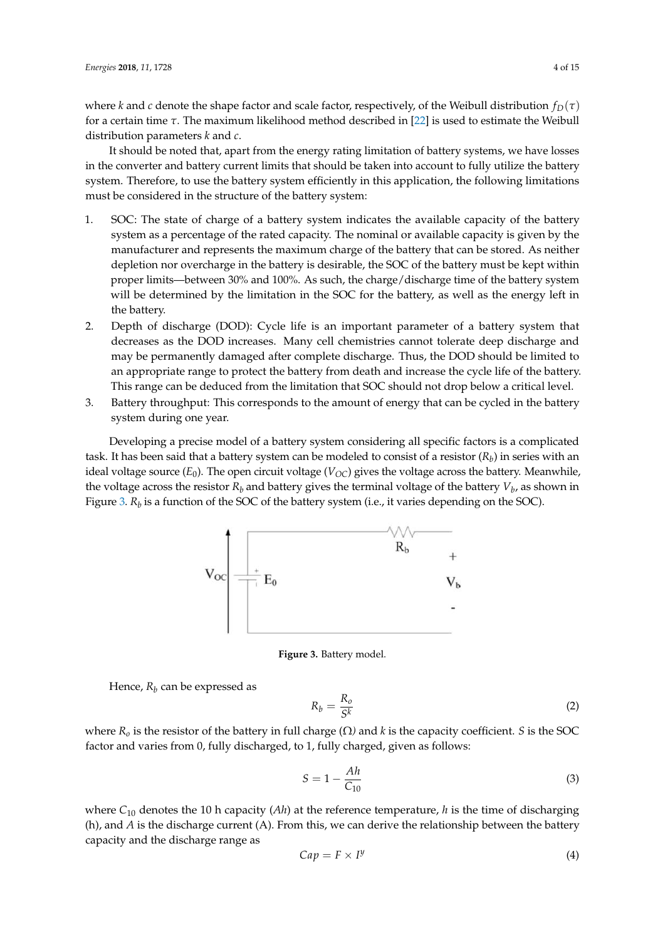where *k* and *c* denote the shape factor and scale factor, respectively, of the Weibull distribution  $f_D(\tau)$ for a certain time *τ*. The maximum likelihood method described in [22] is used to estimate the Weibull distribution parameters *k* and *c*.

It should be noted that, apart from the energy rating limitation of battery systems, we have losses in the converter and battery current limits that should be taken into account to fully utilize the battery system. Therefore, to use the battery system efficiently in this application, the following limitations must be considered in the structure of the battery system:

- 1. SOC: The state of charge of a battery system indicates the available capacity of the battery system as a percentage of the rated capacity. The nominal or available capacity is given by the manufacturer and represents the maximum charge of the battery that can be stored. As neither depletion nor overcharge in the battery is desirable, the SOC of the battery must be kept within proper limits—between 30% and 100%. As such, the charge/discharge time of the battery system will be determined by the limitation in the SOC for the battery, as well as the energy left in the battery.
- 2. Depth of discharge (DOD): Cycle life is an important parameter of a battery system that decreases as the DOD increases. Many cell chemistries cannot tolerate deep discharge and may be permanently damaged after complete discharge. Thus, the DOD should be limited to an appropriate range to protect the battery from death and increase the cycle life of the battery. This range can be deduced from the limitation that SOC should not drop below a critical level.
- 3. Battery throughput: This corresponds to the amount of energy that can be cycled in the battery system during one year.

Developing a precise model of a battery system considering all specific factors is a complicated task. It has been said that a battery system can be modeled to consist of a resistor  $(R_b)$  in series with an ideal voltage source  $(E_0)$ . The open circuit voltage  $(V_{OC})$  gives the voltage across the battery. Meanwhile, the voltage across the resistor  $R_b$  and battery gives the terminal voltage of the battery  $V_b$ , as shown in Figure 3.  $R_b$  is a function of the SOC of the battery system (i.e., it varies depending on the SOC).



**Figure 3.** Battery model.

Hence,  $R_b$  can be expressed as

$$
R_b = \frac{R_o}{S^k} \tag{2}
$$

where  $R$ <sup>*o*</sup> is the resistor of the battery in full charge (Ω) and *k* is the capacity coefficient. *S* is the SOC factor and varies from 0, fully discharged, to 1, fully charged, given as follows:

$$
S = 1 - \frac{Ah}{C_{10}}\tag{3}
$$

where  $C_{10}$  denotes the 10 h capacity (*Ah*) at the reference temperature, *h* is the time of discharging (h), and *A* is the discharge current (A). From this, we can derive the relationship between the battery capacity and the discharge range as

$$
Cap = F \times I^{\mathcal{Y}} \tag{4}
$$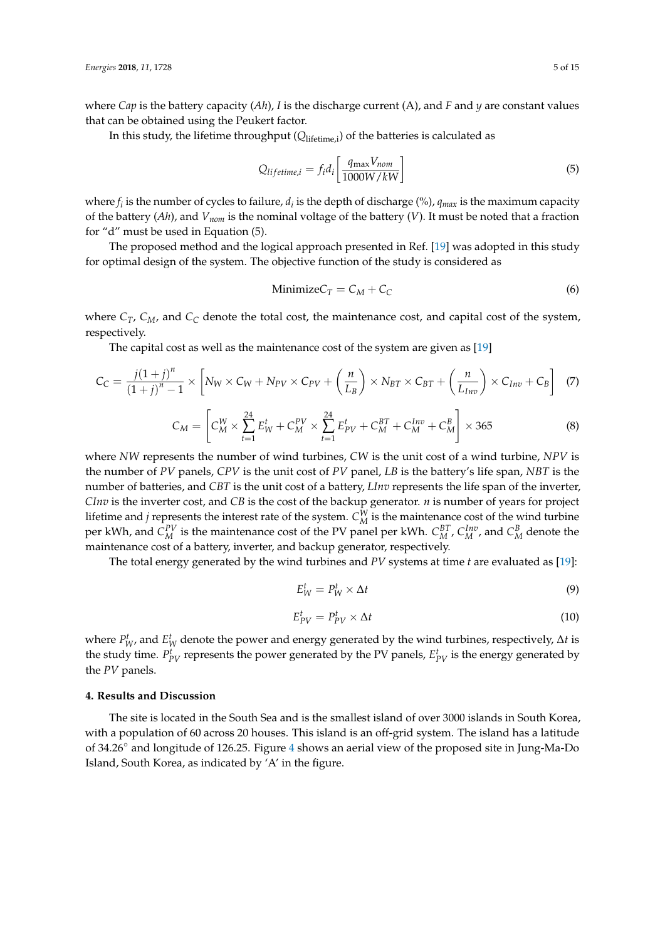where *Cap* is the battery capacity (*Ah*), *I* is the discharge current (A), and *F* and *y* are constant values that can be obtained using the Peukert factor.

In this study, the lifetime throughput (*Q*lifetime,i) of the batteries is calculated as

$$
Q_{lifetime,i} = f_i d_i \left[ \frac{q_{\text{max}} V_{nom}}{1000W/kW} \right]
$$
\n(5)

where  $f_i$  is the number of cycles to failure,  $d_i$  is the depth of discharge (%),  $q_{max}$  is the maximum capacity of the battery (*Ah*), and *Vnom* is the nominal voltage of the battery (*V*). It must be noted that a fraction for "d" must be used in Equation (5).

The proposed method and the logical approach presented in Ref. [19] was adopted in this study for optimal design of the system. The objective function of the study is considered as

$$
Minimize C_T = C_M + C_C
$$
\n(6)

where *CT*, *CM*, and *C<sup>C</sup>* denote the total cost, the maintenance cost, and capital cost of the system, respectively.

The capital cost as well as the maintenance cost of the system are given as [19]

$$
C_C = \frac{j(1+j)^n}{(1+j)^n - 1} \times \left[ N_W \times C_W + N_{PV} \times C_{PV} + \left( \frac{n}{L_B} \right) \times N_{BT} \times C_{BT} + \left( \frac{n}{L_{Inv}} \right) \times C_{Inv} + C_B \right] \tag{7}
$$

$$
C_M = \left[ C_M^W \times \sum_{t=1}^{24} E_W^t + C_M^{PV} \times \sum_{t=1}^{24} E_{PV}^t + C_M^{BT} + C_M^{Inv} + C_M^B \right] \times 365 \tag{8}
$$

where *NW* represents the number of wind turbines, *CW* is the unit cost of a wind turbine, *NPV* is the number of *PV* panels, *CPV* is the unit cost of *PV* panel, *LB* is the battery's life span, *NBT* is the number of batteries, and *CBT* is the unit cost of a battery, *LInv* represents the life span of the inverter, *CInv* is the inverter cost, and *CB* is the cost of the backup generator. *n* is number of years for project lifetime and *j* represents the interest rate of the system.  $C_M^W$  is the maintenance cost of the wind turbine per kWh, and  $C_M^{PV}$  is the maintenance cost of the PV panel per kWh.  $C_M^{BT}$ ,  $C_M^{Inv}$ , and  $C_M^B$  denote the maintenance cost of a battery, inverter, and backup generator, respectively.

The total energy generated by the wind turbines and *PV* systems at time *t* are evaluated as [19]:

$$
E_W^t = P_W^t \times \Delta t \tag{9}
$$

$$
E_{PV}^t = P_{PV}^t \times \Delta t \tag{10}
$$

where  $P^t_W$ , and  $E^t_W$  denote the power and energy generated by the wind turbines, respectively,  $\Delta t$  is the study time.  $P_{PV}^t$  represents the power generated by the PV panels,  $E_{PV}^t$  is the energy generated by the *PV* panels.

### **4. Results and Discussion**

The site is located in the South Sea and is the smallest island of over 3000 islands in South Korea, with a population of 60 across 20 houses. This island is an off-grid system. The island has a latitude of 34.26◦ and longitude of 126.25. Figure 4 shows an aerial view of the proposed site in Jung-Ma-Do Island, South Korea, as indicated by 'A' in the figure.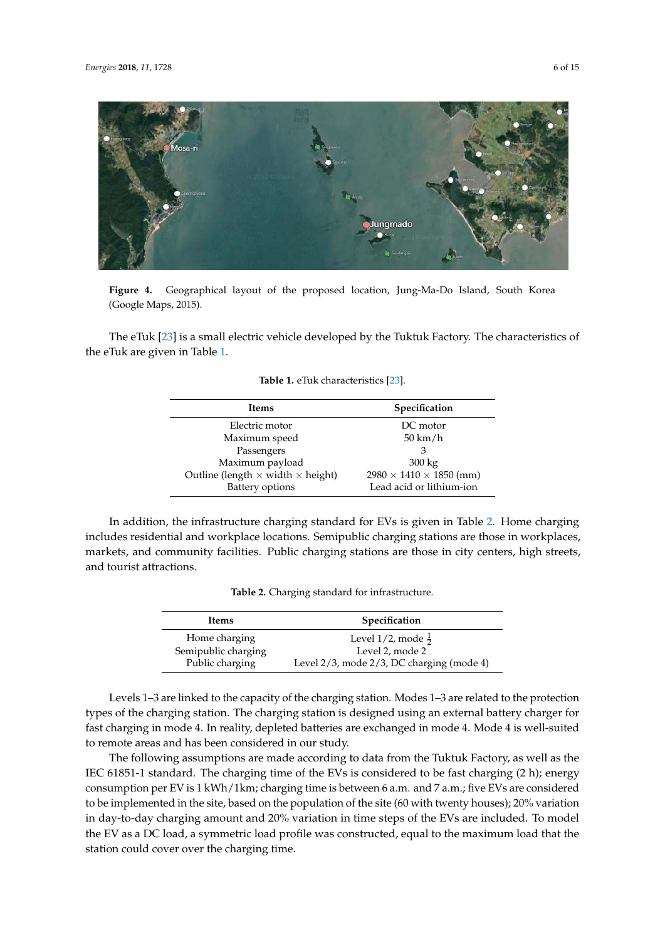

lungmado

**Figure 4.** Geographical layout of the proposed location, Jung-Ma-Do Island, South Korea (Google Maps, 2015).

The eTuk [23] is a small electric vehicle developed by the Tuktuk Factory. The characteristics of the eTuk are given in Table 1.

| Items                                           | Specification                       |
|-------------------------------------------------|-------------------------------------|
| Electric motor                                  | DC motor                            |
| Maximum speed                                   | $50 \text{ km/h}$                   |
| Passengers                                      |                                     |
| Maximum payload                                 | $300 \text{ kg}$                    |
| Outline (length $\times$ width $\times$ height) | $2980 \times 1410 \times 1850$ (mm) |

**Table 1.** eTuk characteristics [23].

In addition, the infrastructure charging standard for EVs is given in Table 2. Home charging includes residential and workplace locations. Semipublic charging stations are those in workplaces, markets, and community facilities. Public charging stations are those in city centers, high streets, and tourist attractions.

Battery options Lead acid or lithium-ion

|  |  |  |  | Table 2. Charging standard for infrastructure. |
|--|--|--|--|------------------------------------------------|
|--|--|--|--|------------------------------------------------|

| <b>Items</b>        | <b>Specification</b>                      |
|---------------------|-------------------------------------------|
| Home charging       | Level 1/2, mode $\frac{1}{2}$             |
| Semipublic charging | Level 2, mode 2                           |
| Public charging     | Level 2/3, mode 2/3, DC charging (mode 4) |

Levels 1–3 are linked to the capacity of the charging station. Modes 1–3 are related to the protection types of the charging station. The charging station is designed using an external battery charger for fast charging in mode 4. In reality, depleted batteries are exchanged in mode 4. Mode 4 is well-suited to remote areas and has been considered in our study.

The following assumptions are made according to data from the Tuktuk Factory, as well as the IEC 61851-1 standard. The charging time of the EVs is considered to be fast charging (2 h); energy consumption per EV is 1 kWh/1km; charging time is between 6 a.m. and 7 a.m.; five EVs are considered to be implemented in the site, based on the population of the site (60 with twenty houses); 20% variation in day-to-day charging amount and 20% variation in time steps of the EVs are included. To model the EV as a DC load, a symmetric load profile was constructed, equal to the maximum load that the station could cover over the charging time.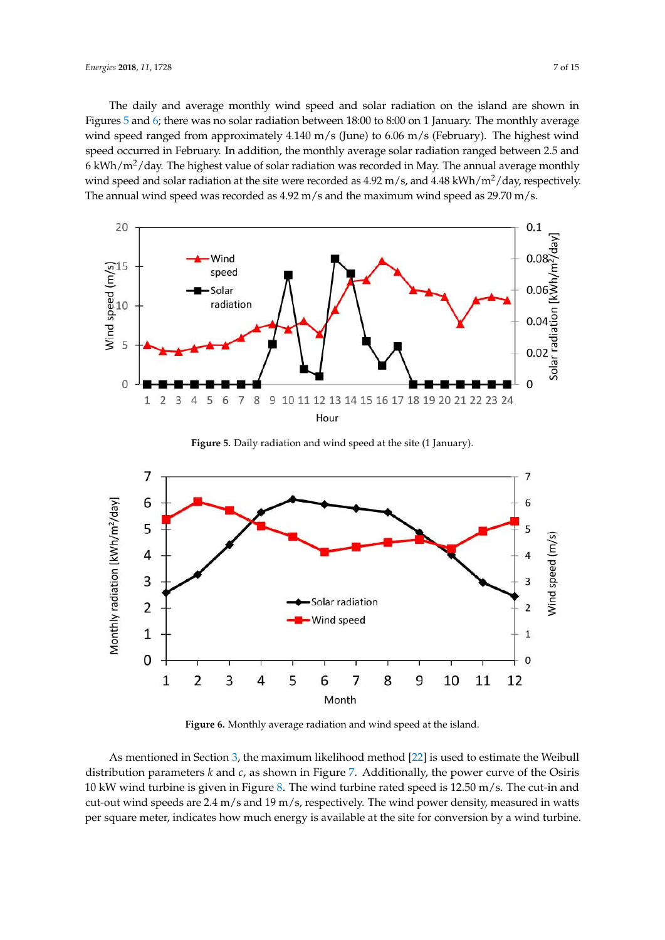The daily and average monthly wind speed and solar radiation on the island are shown in Figures 5 and 6; there was no solar radiation between 18:00 to 8:00 on 1 January. The monthly average wind speed ranged from approximately 4.140 m/s (June) to 6.06 m/s (February). The highest wind speed occurred in February. In addition, the monthly average solar radiation ranged between 2.5 and 6 kWh/ $m^2$ /day. The highest value of solar radiation was recorded in May. The annual average monthly wind speed and solar radiation at the site were recorded as  $4.92 \text{ m/s}$ , and  $4.48 \text{ kWh/m}^2/\text{day}$ , respectively. The annual wind speed was recorded as  $4.92 \text{ m/s}$  and the maximum wind speed as  $29.70 \text{ m/s}$ .



**Figure 5.** Daily radiation and wind speed at the site (1 January).



**Figure 6.** Monthly average radiation and wind speed at the island.

As mentioned in Section 3, the maximum likelihood method [22] is used to estimate the Weibull distribution parameters *k* and *c*, as shown in Figure 7. Additionally, the power curve of the Osiris 10 kW wind turbine is given in Figure 8. The wind turbine rated speed is 12.50 m/s. The cut-in and cut-out wind speeds are 2.4 m/s and 19 m/s, respectively. The wind power density, measured in watts per square meter, indicates how much energy is available at the site for conversion by a wind turbine.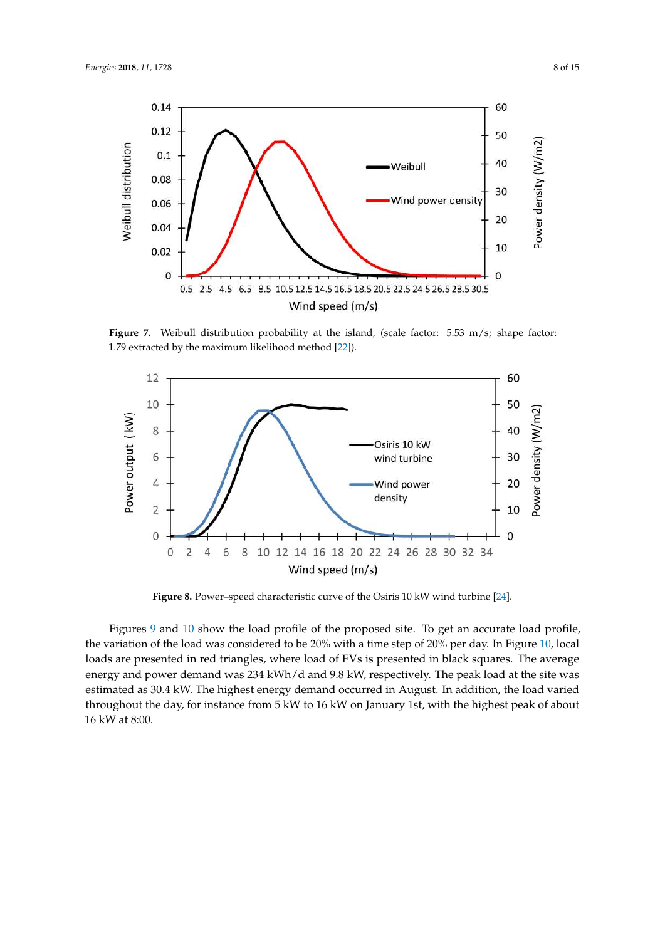

Figure 7. Weibull distribution probability at the island, (scale factor: 5.53 m/s; shape factor: 1.79 extracted by the maximum likelihood method [22]).



**Figure 8.** Power–speed characteristic curve of the Osiris 10 kW wind turbine [24].

Figures 9 and 10 show the load profile of the proposed site. To get an accurate load profile, the variation of the load was considered to be 20% with a time step of 20% per day. In Figure 10, local loads are presented in red triangles, where load of EVs is presented in black squares. The average energy and power demand was 234 kWh/d and 9.8 kW, respectively. The peak load at the site was estimated as 30.4 kW. The highest energy demand occurred in August. In addition, the load varied throughout the day, for instance from 5 kW to 16 kW on January 1st, with the highest peak of about 16 kW at 8:00.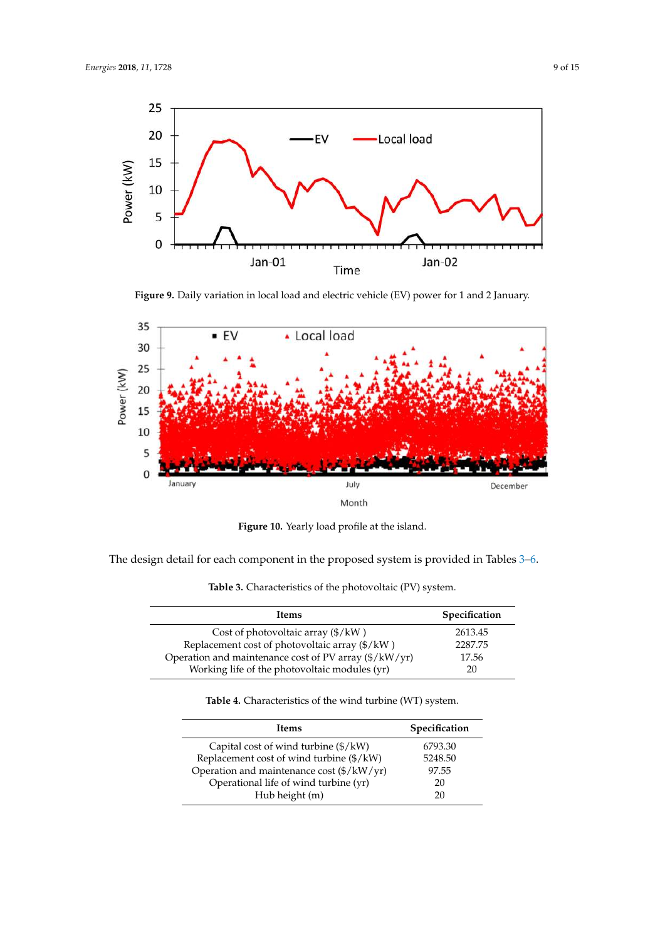

**Figure 9.** Daily variation in local load and electric vehicle (EV) power for 1 and 2 January.



**Figure 10.** Yearly load profile at the island.

The design detail for each component in the proposed system is provided in Tables 3–6.

| <b>Items</b>                                          | Specification |
|-------------------------------------------------------|---------------|
| Cost of photovoltaic array $(\frac{6}{\text{K}})$     | 2613.45       |
| Replacement cost of photovoltaic array (\$/kW)        | 2287.75       |
| Operation and maintenance cost of PV array (\$/kW/yr) | 17.56         |
| Working life of the photovoltaic modules (yr)         | 20            |

**Table 3.** Characteristics of the photovoltaic (PV) system.

**Table 4.** Characteristics of the wind turbine (WT) system.

| Items                                     | Specification |
|-------------------------------------------|---------------|
| Capital cost of wind turbine (\$/kW)      | 6793.30       |
| Replacement cost of wind turbine (\$/kW)  | 5248.50       |
| Operation and maintenance cost (\$/kW/yr) | 97.55         |
| Operational life of wind turbine (yr)     | 20            |
| Hub height (m)                            | 20            |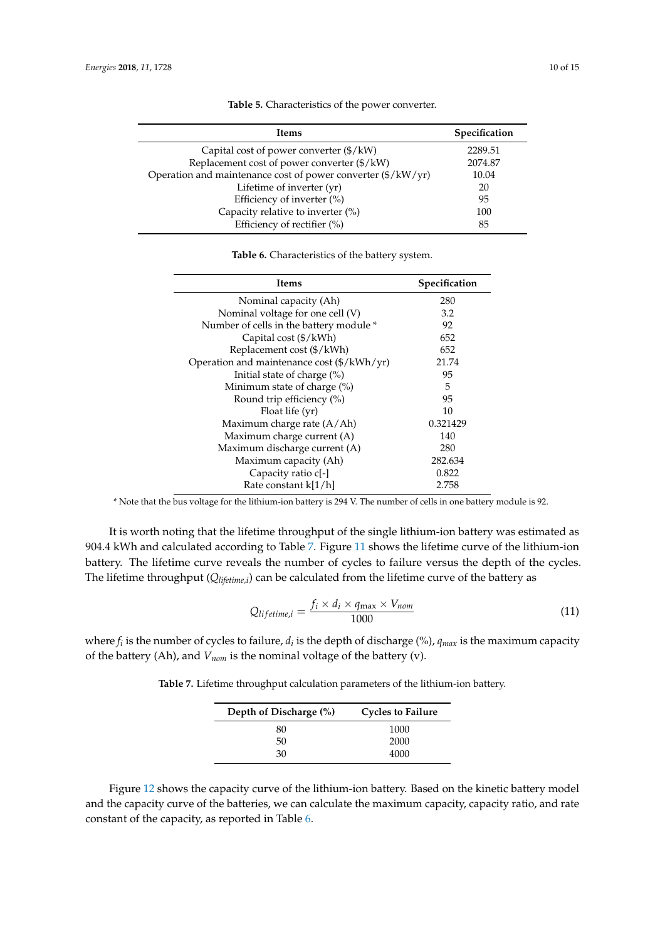| <b>Items</b>                                                 | Specification |
|--------------------------------------------------------------|---------------|
| Capital cost of power converter $(\frac{6}{\text{K}})$       | 2289.51       |
| Replacement cost of power converter (\$/kW)                  | 2074.87       |
| Operation and maintenance cost of power converter (\$/kW/yr) | 10.04         |
| Lifetime of inverter (yr)                                    | 20            |
| Efficiency of inverter (%)                                   | 95            |
| Capacity relative to inverter (%)                            | 100           |
| Efficiency of rectifier (%)                                  | 85            |

**Table 5.** Characteristics of the power converter.

**Table 6.** Characteristics of the battery system.

| Items                                                          | Specification |  |  |
|----------------------------------------------------------------|---------------|--|--|
| Nominal capacity (Ah)                                          | 280           |  |  |
| Nominal voltage for one cell (V)                               | 3.2           |  |  |
| Number of cells in the battery module *                        | 92            |  |  |
| Capital cost $(\frac{4}{\kappa}$ Wh)                           | 652           |  |  |
| Replacement cost (\$/kWh)                                      | 652           |  |  |
| Operation and maintenance cost $(\frac{4}{\kappa}Wh/\gamma r)$ | 21.74         |  |  |
| Initial state of charge $(\%)$                                 | 95            |  |  |
| Minimum state of charge $(\%)$                                 | 5             |  |  |
| Round trip efficiency (%)                                      | 95            |  |  |
| Float life (yr)                                                | 10            |  |  |
| Maximum charge rate $(A/Ah)$                                   | 0.321429      |  |  |
| Maximum charge current (A)                                     | 140           |  |  |
| Maximum discharge current (A)                                  | 280           |  |  |
| Maximum capacity (Ah)                                          | 282.634       |  |  |
| Capacity ratio c[-]                                            | 0.822         |  |  |
| Rate constant k[1/h]                                           | 2.758         |  |  |

\* Note that the bus voltage for the lithium-ion battery is 294 V. The number of cells in one battery module is 92.

It is worth noting that the lifetime throughput of the single lithium-ion battery was estimated as 904.4 kWh and calculated according to Table 7. Figure 11 shows the lifetime curve of the lithium-ion battery. The lifetime curve reveals the number of cycles to failure versus the depth of the cycles. The lifetime throughput (*Qlifetime,i*) can be calculated from the lifetime curve of the battery as

$$
Q_{lifetime,i} = \frac{f_i \times d_i \times q_{\text{max}} \times V_{\text{nom}}}{1000} \tag{11}
$$

where  $f_i$  is the number of cycles to failure,  $d_i$  is the depth of discharge (%),  $q_{max}$  is the maximum capacity of the battery (Ah), and *Vnom* is the nominal voltage of the battery (v).

**Table 7.** Lifetime throughput calculation parameters of the lithium-ion battery.

| Depth of Discharge (%) | <b>Cycles to Failure</b> |  |  |  |  |
|------------------------|--------------------------|--|--|--|--|
| 80                     | 1000                     |  |  |  |  |
| 50                     | 2000                     |  |  |  |  |
| 30                     | 4000                     |  |  |  |  |

Figure 12 shows the capacity curve of the lithium-ion battery. Based on the kinetic battery model and the capacity curve of the batteries, we can calculate the maximum capacity, capacity ratio, and rate constant of the capacity, as reported in Table 6.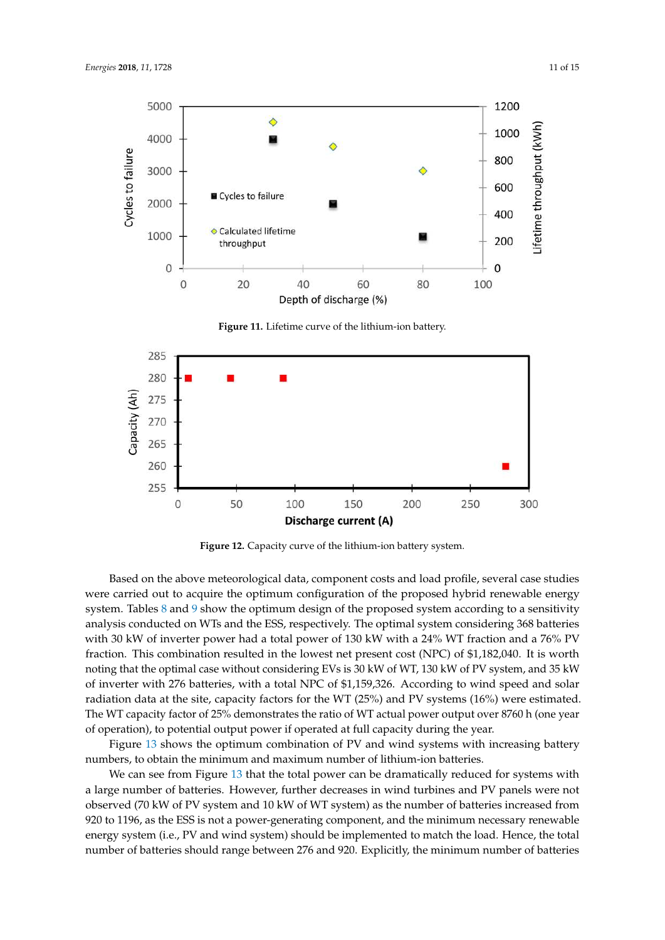



**Figure 11.** Lifetime curve of the lithium-ion battery.



**Figure 12.** Capacity curve of the lithium-ion battery system.

Based on the above meteorological data, component costs and load profile, several case studies were carried out to acquire the optimum configuration of the proposed hybrid renewable energy system. Tables 8 and 9 show the optimum design of the proposed system according to a sensitivity analysis conducted on WTs and the ESS, respectively. The optimal system considering 368 batteries with 30 kW of inverter power had a total power of 130 kW with a 24% WT fraction and a 76% PV fraction. This combination resulted in the lowest net present cost (NPC) of \$1,182,040. It is worth noting that the optimal case without considering EVs is 30 kW of WT, 130 kW of PV system, and 35 kW of inverter with 276 batteries, with a total NPC of \$1,159,326. According to wind speed and solar radiation data at the site, capacity factors for the WT (25%) and PV systems (16%) were estimated. The WT capacity factor of 25% demonstrates the ratio of WT actual power output over 8760 h (one year of operation), to potential output power if operated at full capacity during the year.

Figure 13 shows the optimum combination of PV and wind systems with increasing battery numbers, to obtain the minimum and maximum number of lithium-ion batteries.

We can see from Figure 13 that the total power can be dramatically reduced for systems with a large number of batteries. However, further decreases in wind turbines and PV panels were not observed (70 kW of PV system and 10 kW of WT system) as the number of batteries increased from 920 to 1196, as the ESS is not a power-generating component, and the minimum necessary renewable energy system (i.e., PV and wind system) should be implemented to match the load. Hence, the total number of batteries should range between 276 and 920. Explicitly, the minimum number of batteries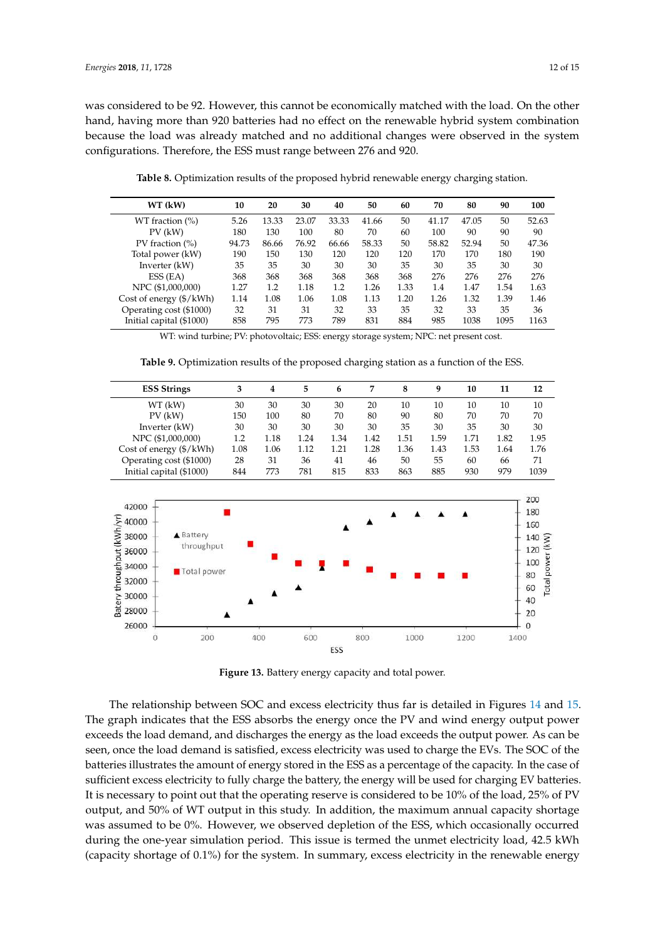was considered to be 92. However, this cannot be economically matched with the load. On the other hand, having more than 920 batteries had no effect on the renewable hybrid system combination because the load was already matched and no additional changes were observed in the system configurations. Therefore, the ESS must range between 276 and 920.

**Table 8.** Optimization results of the proposed hybrid renewable energy charging station.

| WT (kW)                          | 10    | 20    | 30    | 40    | 50    | 60   | 70    | 80    | 90   | 100   |
|----------------------------------|-------|-------|-------|-------|-------|------|-------|-------|------|-------|
| WT fraction $(\%)$               | 5.26  | 13.33 | 23.07 | 33.33 | 41.66 | 50   | 41.17 | 47.05 | 50   | 52.63 |
| PV (kW)                          | 180   | 130   | 100   | 80    | 70    | 60   | 100   | 90    | 90   | 90    |
| PV fraction $(\% )$              | 94.73 | 86.66 | 76.92 | 66.66 | 58.33 | 50   | 58.82 | 52.94 | 50   | 47.36 |
| Total power (kW)                 | 190   | 150   | 130   | 120   | 120   | 120  | 170   | 170   | 180  | 190   |
| Inverter (kW)                    | 35    | 35    | 30    | 30    | 30    | 35   | 30    | 35    | 30   | 30    |
| ESS (EA)                         | 368   | 368   | 368   | 368   | 368   | 368  | 276   | 276   | 276  | 276   |
| NPC (\$1,000,000)                | 1.27  | 1.2   | 1.18  | 1.2   | 1.26  | 1.33 | 1.4   | 1.47  | 1.54 | 1.63  |
| Cost of energy $(\frac{6}{kWh})$ | 1.14  | 1.08  | 1.06  | 1.08  | 1.13  | 1.20 | 1.26  | 1.32  | 1.39 | 1.46  |
| Operating cost (\$1000)          | 32    | 31    | 31    | 32    | 33    | 35   | 32    | 33    | 35   | 36    |
| Initial capital (\$1000)         | 858   | 795   | 773   | 789   | 831   | 884  | 985   | 1038  | 1095 | 1163  |

WT: wind turbine; PV: photovoltaic; ESS: energy storage system; NPC: net present cost.

**Table 9.** Optimization results of the proposed charging station as a function of the ESS.



**Figure 13.** Battery energy capacity and total power.

The relationship between SOC and excess electricity thus far is detailed in Figures 14 and 15. The graph indicates that the ESS absorbs the energy once the PV and wind energy output power exceeds the load demand, and discharges the energy as the load exceeds the output power. As can be seen, once the load demand is satisfied, excess electricity was used to charge the EVs. The SOC of the batteries illustrates the amount of energy stored in the ESS as a percentage of the capacity. In the case of sufficient excess electricity to fully charge the battery, the energy will be used for charging EV batteries. It is necessary to point out that the operating reserve is considered to be 10% of the load, 25% of PV output, and 50% of WT output in this study. In addition, the maximum annual capacity shortage was assumed to be 0%. However, we observed depletion of the ESS, which occasionally occurred during the one-year simulation period. This issue is termed the unmet electricity load, 42.5 kWh (capacity shortage of 0.1%) for the system. In summary, excess electricity in the renewable energy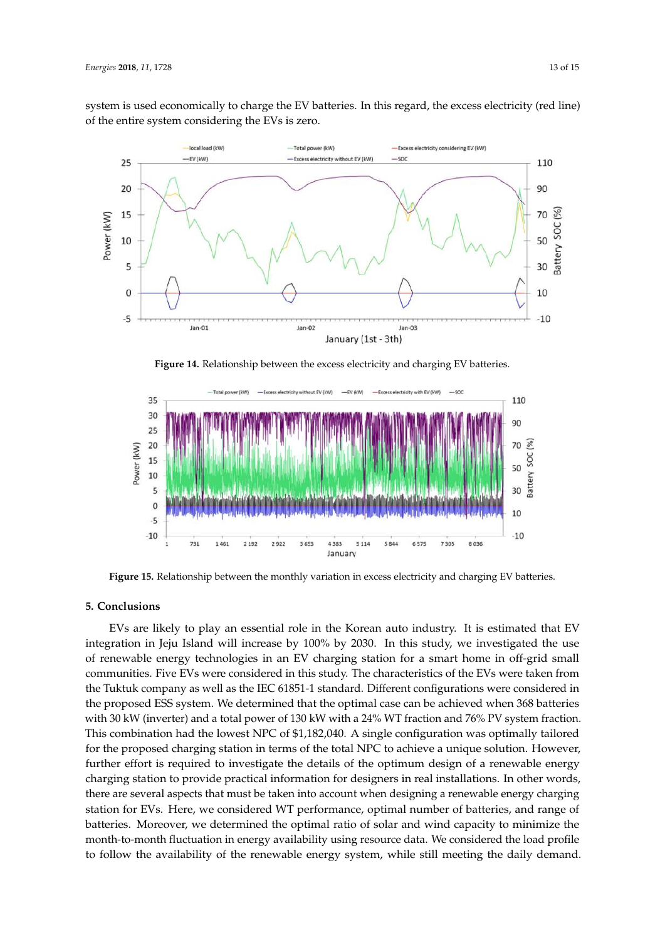system is used economically to charge the EV batteries. In this regard, the excess electricity (red line) of the entire system considering the EVs is zero.



**Figure 14.** Relationship between the excess electricity and charging EV batteries.



**Figure 15.** Relationship between the monthly variation in excess electricity and charging EV batteries.

### **5. Conclusions**

EVs are likely to play an essential role in the Korean auto industry. It is estimated that EV integration in Jeju Island will increase by 100% by 2030. In this study, we investigated the use of renewable energy technologies in an EV charging station for a smart home in off-grid small communities. Five EVs were considered in this study. The characteristics of the EVs were taken from the Tuktuk company as well as the IEC 61851-1 standard. Different configurations were considered in the proposed ESS system. We determined that the optimal case can be achieved when 368 batteries with 30 kW (inverter) and a total power of 130 kW with a 24% WT fraction and 76% PV system fraction. This combination had the lowest NPC of \$1,182,040. A single configuration was optimally tailored for the proposed charging station in terms of the total NPC to achieve a unique solution. However, further effort is required to investigate the details of the optimum design of a renewable energy charging station to provide practical information for designers in real installations. In other words, there are several aspects that must be taken into account when designing a renewable energy charging station for EVs. Here, we considered WT performance, optimal number of batteries, and range of batteries. Moreover, we determined the optimal ratio of solar and wind capacity to minimize the month-to-month fluctuation in energy availability using resource data. We considered the load profile to follow the availability of the renewable energy system, while still meeting the daily demand.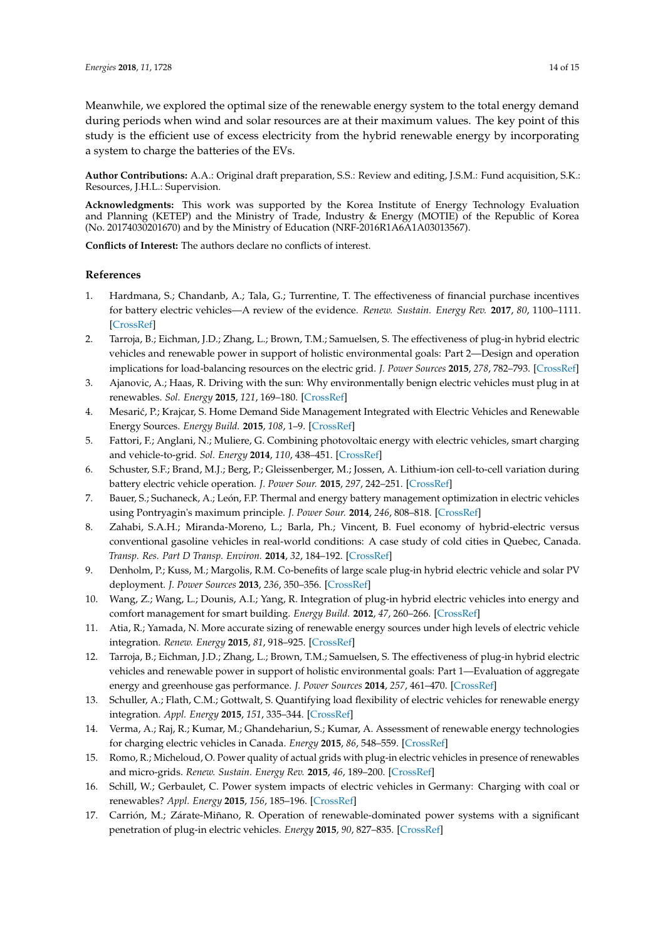Meanwhile, we explored the optimal size of the renewable energy system to the total energy demand during periods when wind and solar resources are at their maximum values. The key point of this study is the efficient use of excess electricity from the hybrid renewable energy by incorporating a system to charge the batteries of the EVs.

**Author Contributions:** A.A.: Original draft preparation, S.S.: Review and editing, J.S.M.: Fund acquisition, S.K.: Resources, J.H.L.: Supervision.

**Acknowledgments:** This work was supported by the Korea Institute of Energy Technology Evaluation and Planning (KETEP) and the Ministry of Trade, Industry & Energy (MOTIE) of the Republic of Korea (No. 20174030201670) and by the Ministry of Education (NRF-2016R1A6A1A03013567).

**Conflicts of Interest:** The authors declare no conflicts of interest.

## **References**

- 1. Hardmana, S.; Chandanb, A.; Tala, G.; Turrentine, T. The effectiveness of financial purchase incentives for battery electric vehicles—A review of the evidence. *Renew. Sustain. Energy Rev.* **2017**, *80*, 1100–1111. [CrossRef]
- 2. Tarroja, B.; Eichman, J.D.; Zhang, L.; Brown, T.M.; Samuelsen, S. The effectiveness of plug-in hybrid electric vehicles and renewable power in support of holistic environmental goals: Part 2—Design and operation implications for load-balancing resources on the electric grid. *J. Power Sources* **2015**, *278*, 782–793. [CrossRef]
- 3. Ajanovic, A.; Haas, R. Driving with the sun: Why environmentally benign electric vehicles must plug in at renewables. *Sol. Energy* **2015**, *121*, 169–180. [CrossRef]
- 4. Mesarić, P.; Krajcar, S. Home Demand Side Management Integrated with Electric Vehicles and Renewable Energy Sources. *Energy Build.* **2015**, *108*, 1–9. [CrossRef]
- 5. Fattori, F.; Anglani, N.; Muliere, G. Combining photovoltaic energy with electric vehicles, smart charging and vehicle-to-grid. *Sol. Energy* **2014**, *110*, 438–451. [CrossRef]
- 6. Schuster, S.F.; Brand, M.J.; Berg, P.; Gleissenberger, M.; Jossen, A. Lithium-ion cell-to-cell variation during battery electric vehicle operation. *J. Power Sour.* **2015**, *297*, 242–251. [CrossRef]
- 7. Bauer, S.; Suchaneck, A.; León, F.P. Thermal and energy battery management optimization in electric vehicles using Pontryagin's maximum principle. *J. Power Sour.* **2014**, *246*, 808–818. [CrossRef]
- 8. Zahabi, S.A.H.; Miranda-Moreno, L.; Barla, Ph.; Vincent, B. Fuel economy of hybrid-electric versus conventional gasoline vehicles in real-world conditions: A case study of cold cities in Quebec, Canada. *Transp. Res. Part D Transp. Environ.* **2014**, *32*, 184–192. [CrossRef]
- 9. Denholm, P.; Kuss, M.; Margolis, R.M. Co-benefits of large scale plug-in hybrid electric vehicle and solar PV deployment. *J. Power Sources* **2013**, *236*, 350–356. [CrossRef]
- 10. Wang, Z.; Wang, L.; Dounis, A.I.; Yang, R. Integration of plug-in hybrid electric vehicles into energy and comfort management for smart building. *Energy Build.* **2012**, *47*, 260–266. [CrossRef]
- 11. Atia, R.; Yamada, N. More accurate sizing of renewable energy sources under high levels of electric vehicle integration. *Renew. Energy* **2015**, *81*, 918–925. [CrossRef]
- 12. Tarroja, B.; Eichman, J.D.; Zhang, L.; Brown, T.M.; Samuelsen, S. The effectiveness of plug-in hybrid electric vehicles and renewable power in support of holistic environmental goals: Part 1—Evaluation of aggregate energy and greenhouse gas performance. *J. Power Sources* **2014**, *257*, 461–470. [CrossRef]
- 13. Schuller, A.; Flath, C.M.; Gottwalt, S. Quantifying load flexibility of electric vehicles for renewable energy integration. *Appl. Energy* **2015**, *151*, 335–344. [CrossRef]
- 14. Verma, A.; Raj, R.; Kumar, M.; Ghandehariun, S.; Kumar, A. Assessment of renewable energy technologies for charging electric vehicles in Canada. *Energy* **2015**, *86*, 548–559. [CrossRef]
- 15. Romo, R.; Micheloud, O. Power quality of actual grids with plug-in electric vehicles in presence of renewables and micro-grids. *Renew. Sustain. Energy Rev.* **2015**, *46*, 189–200. [CrossRef]
- 16. Schill, W.; Gerbaulet, C. Power system impacts of electric vehicles in Germany: Charging with coal or renewables? *Appl. Energy* **2015**, *156*, 185–196. [CrossRef]
- 17. Carrión, M.; Zárate-Miñano, R. Operation of renewable-dominated power systems with a significant penetration of plug-in electric vehicles. *Energy* **2015**, *90*, 827–835. [CrossRef]